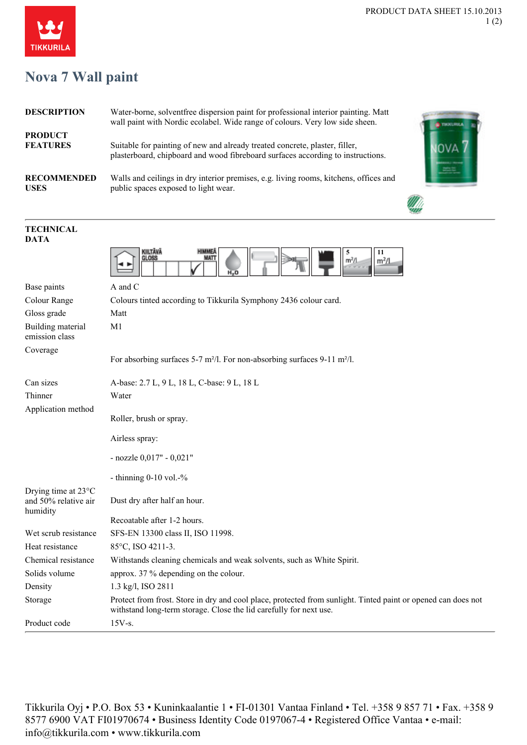## **Nova 7 Wall paint**

| <b>DESCRIPTION</b>                | Water-borne, solventfree dispersion paint for professional interior painting. Matt<br>wall paint with Nordic ecolabel. Wide range of colours. Very low side sheen. |  |
|-----------------------------------|--------------------------------------------------------------------------------------------------------------------------------------------------------------------|--|
| <b>PRODUCT</b><br><b>FEATURES</b> | Suitable for painting of new and already treated concrete, plaster, filler,<br>plasterboard, chipboard and wood fibreboard surfaces according to instructions.     |  |
| <b>RECOMMENDED</b><br><b>USES</b> | Walls and ceilings in dry interior premises, e.g. living rooms, kitchens, offices and<br>public spaces exposed to light wear.                                      |  |
|                                   |                                                                                                                                                                    |  |

| <b>DATA</b>                                                       |                                                                                                                                                                                     |
|-------------------------------------------------------------------|-------------------------------------------------------------------------------------------------------------------------------------------------------------------------------------|
|                                                                   | KIILTÄVÄ<br><b>HIMMEA</b><br>11<br>5<br>MATI<br>GLOSS<br>m <sup>2</sup> /L<br>m <sup>2</sup> /l<br>н.,о                                                                             |
| Base paints                                                       | A and C                                                                                                                                                                             |
| Colour Range                                                      | Colours tinted according to Tikkurila Symphony 2436 colour card.                                                                                                                    |
| Gloss grade                                                       | Matt                                                                                                                                                                                |
| Building material<br>emission class                               | M1                                                                                                                                                                                  |
| Coverage                                                          | For absorbing surfaces 5-7 m <sup>2</sup> /l. For non-absorbing surfaces 9-11 m <sup>2</sup> /l.                                                                                    |
| Can sizes                                                         | A-base: 2.7 L, 9 L, 18 L, C-base: 9 L, 18 L                                                                                                                                         |
| Thinner                                                           | Water                                                                                                                                                                               |
| Application method                                                | Roller, brush or spray.                                                                                                                                                             |
|                                                                   | Airless spray:                                                                                                                                                                      |
|                                                                   | - nozzle $0,017"$ - $0,021"$                                                                                                                                                        |
|                                                                   | - thinning $0-10$ vol. $-$ %                                                                                                                                                        |
| Drying time at $23^{\circ}$ C<br>and 50% relative air<br>humidity | Dust dry after half an hour.                                                                                                                                                        |
|                                                                   | Recoatable after 1-2 hours.                                                                                                                                                         |
| Wet scrub resistance                                              | SFS-EN 13300 class II, ISO 11998.                                                                                                                                                   |
| Heat resistance                                                   | 85°C, ISO 4211-3.                                                                                                                                                                   |
| Chemical resistance                                               | Withstands cleaning chemicals and weak solvents, such as White Spirit.                                                                                                              |
| Solids volume                                                     | approx. 37 % depending on the colour.                                                                                                                                               |
| Density                                                           | 1.3 kg/l, ISO 2811                                                                                                                                                                  |
| Storage                                                           | Protect from frost. Store in dry and cool place, protected from sunlight. Tinted paint or opened can does not<br>withstand long-term storage. Close the lid carefully for next use. |
| Product code                                                      | $15V-S.$                                                                                                                                                                            |

Tikkurila Oyj • P.O. Box 53 • Kuninkaalantie 1 • FI-01301 Vantaa Finland • Tel. +358 9 857 71 • Fax. +358 9 8577 6900 VAT FI01970674 • Business Identity Code 0197067-4 • Registered Office Vantaa • e-mail: info@tikkurila.com • www.tikkurila.com



**TECHNICAL**